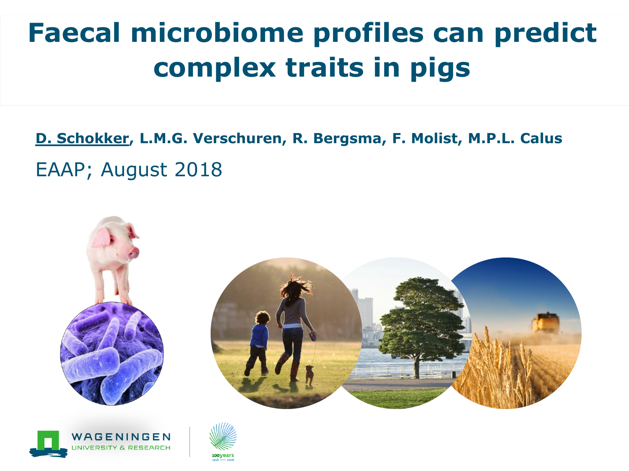# **Faecal microbiome profiles can predict complex traits in pigs**

EAAP; August 2018 **D. Schokker, L.M.G. Verschuren, R. Bergsma, F. Molist, M.P.L. Calus**





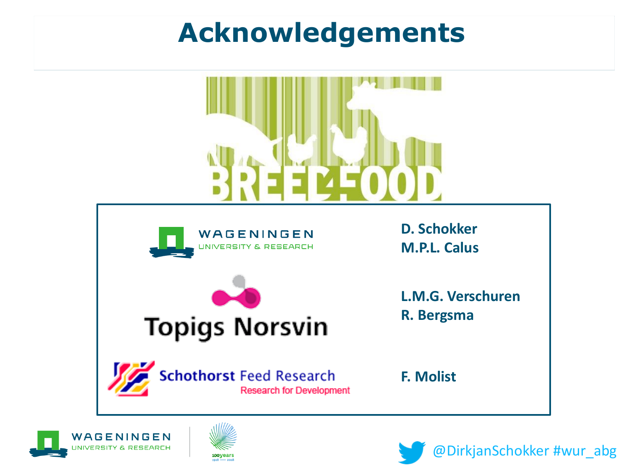## **Acknowledgements**









@DirkjanSchokker #wur\_abg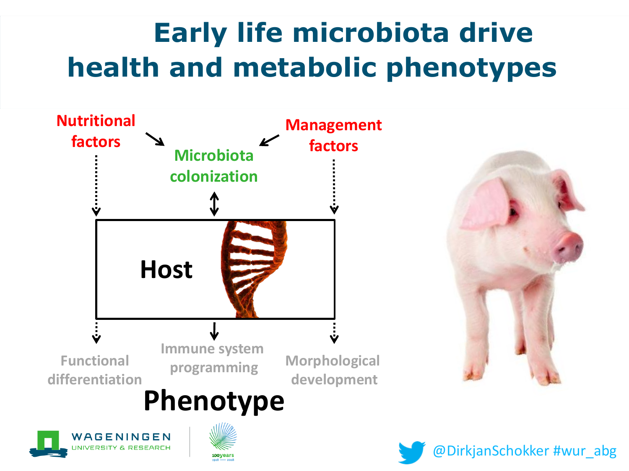# **Early life microbiota drive health and metabolic phenotypes**







@DirkjanSchokker #wur\_abg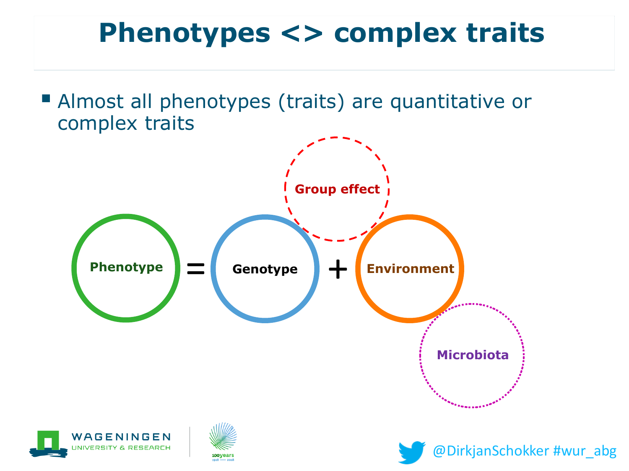## **Phenotypes <> complex traits**

■ Almost all phenotypes (traits) are quantitative or complex traits

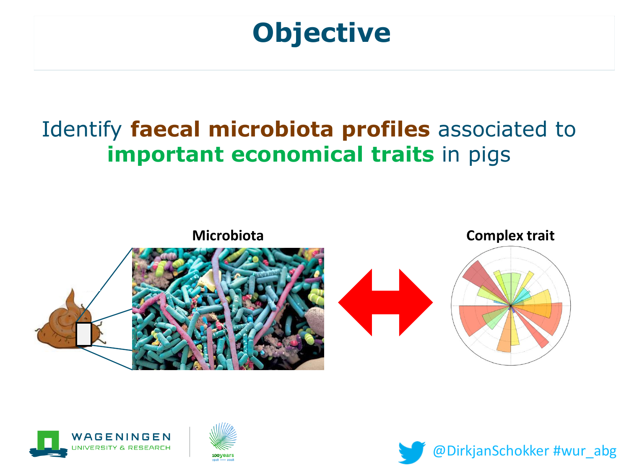## **Objective**

### Identify **faecal microbiota profiles** associated to **important economical traits** in pigs







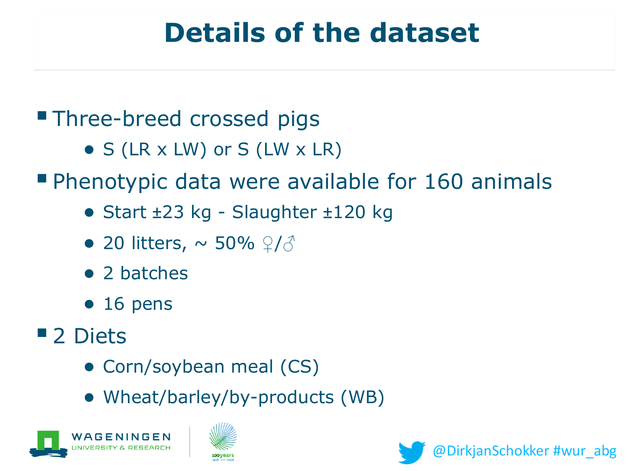### **Details of the dataset**

### **Three-breed crossed pigs**

- $\bullet$  S (LR x LW) or S (LW x LR)
- **Phenotypic data were available for 160 animals** 
	- Start ±23 kg Slaughter ±120 kg
	- 20 litters,  $\sim$  50%  $9/3$
	- 2 batches
	- $\bullet$  16 pens
- 2 Diets
	- Corn/soybean meal (CS)
	- Wheat/barley/by-products (WB)





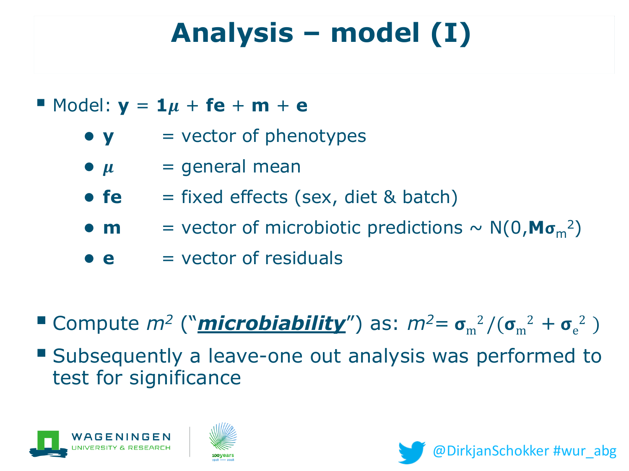# **Analysis – model (I)**

#### $\blacksquare$  Model:  $y = 1\mu + \textbf{fe} + \textbf{m} + \textbf{e}$

- $\bullet$  **y**  $=$  vector of phenotypes
- $\bullet$   $\mu$  = general mean
- **fe** = fixed effects (sex, diet & batch)
- **m** = vector of microbiotic predictions  $\sim N(0, M\sigma_m^2)$
- $\bullet$  **e**  $=$  vector of residuals

 $\blacksquare$  Compute  $m^2$  ("**microbiability**") as:  $m^2 = \sigma_m^2/(\sigma_m^2 + \sigma_e^2)$ 

■ Subsequently a leave-one out analysis was performed to test for significance





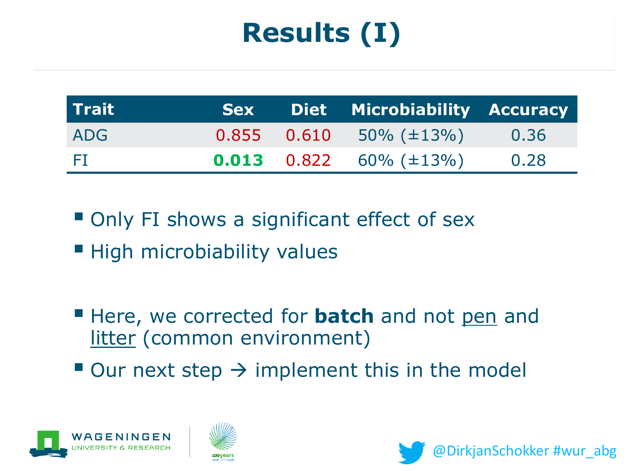# **Results (I)**

| Trait |  | <b>Sex Diet Microbiability Accuracy</b> |      |
|-------|--|-----------------------------------------|------|
| ADG   |  | $0.855$ $0.610$ $50\%$ (±13%)           | 0.36 |
| - 20  |  | <b>0.013</b> 0.822 60% ( $\pm$ 13%)     | 0.28 |

■ Only FI shows a significant effect of sex

- **E** High microbiability values
- **E** Here, we corrected for **batch** and not pen and litter (common environment)
- $\blacksquare$  Our next step  $\rightarrow$  implement this in the model





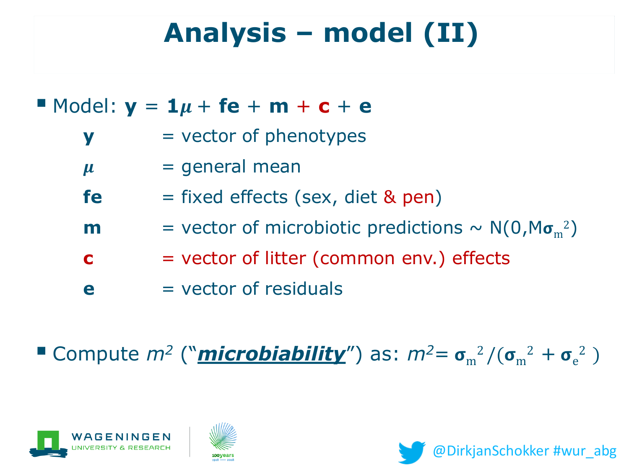# **Analysis – model (II)**

### $\blacksquare$  Model:  $y = 1\mu + \textbf{fe} + \textbf{m} + \textbf{c} + \textbf{e}$

- **y** = vector of phenotypes
- $\mu$  = general mean
- **fe** = fixed effects (sex, diet & pen)
- **m** = vector of microbiotic predictions  $\sim N(0, M\sigma_m^2)$
- **c** = vector of litter (common env.) effects
- **e**  $=$  vector of residuals

**E** Compute  $m^2$  ("**microbiability**") as:  $m^2 = \sigma_m^2/(\sigma_m^2 + \sigma_e^2)$ 





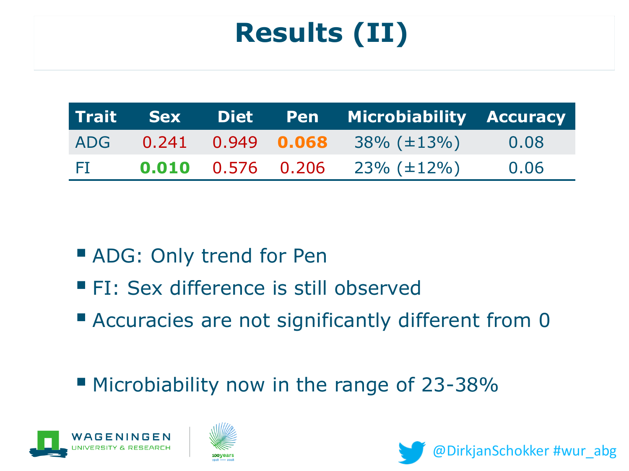# **Results (II)**

|        |  | Trait Sex Diet Pen Microbiability Accuracy |      |
|--------|--|--------------------------------------------|------|
|        |  | ADG $0.241$ $0.949$ $0.068$ $38\%$ (±13%)  | 0.08 |
| - FI - |  | <b>0.010</b> 0.576 0.206 23% ( $\pm$ 12%)  | 0.06 |

- ADG: Only trend for Pen
- **FI: Sex difference is still observed**
- Accuracies are not significantly different from 0
- Microbiability now in the range of 23-38%





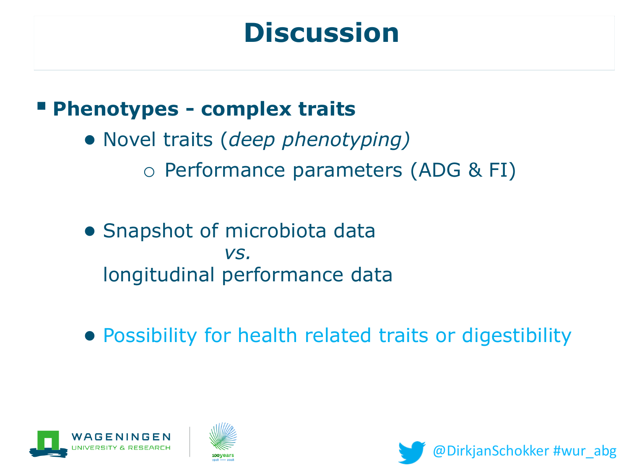## **Discussion**

#### ▪ **Phenotypes - complex traits**

- Novel traits (*deep phenotyping)* o Performance parameters (ADG & FI)
- Snapshot of microbiota data *vs.*  longitudinal performance data
- Possibility for health related traits or digestibility





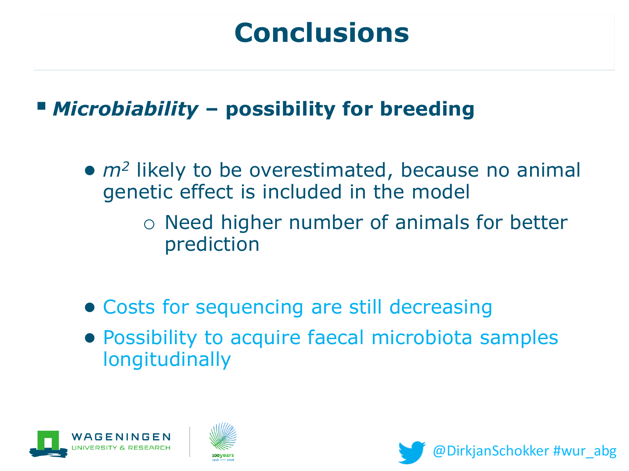## **Conclusions**

### ▪ *Microbiability* **– possibility for breeding**

- *m<sup>2</sup>* likely to be overestimated, because no animal genetic effect is included in the model
	- o Need higher number of animals for better prediction
- Costs for sequencing are still decreasing
- Possibility to acquire faecal microbiota samples longitudinally